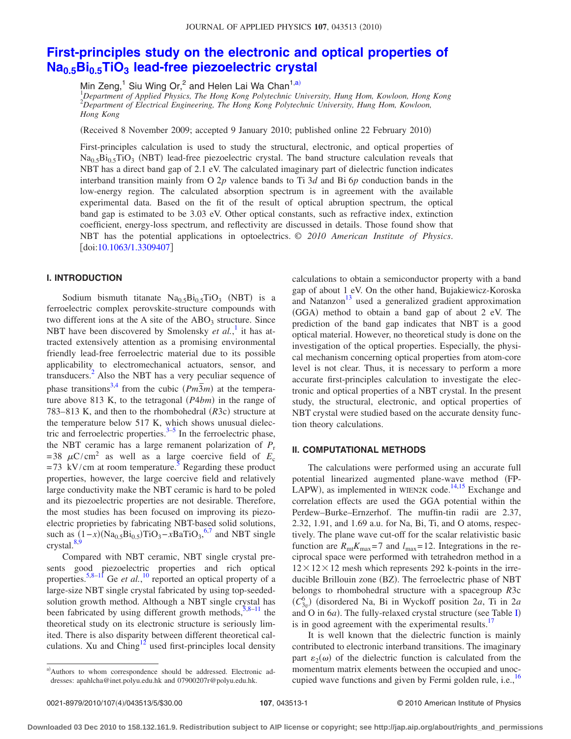# **[First-principles study on the electronic and optical properties of](http://dx.doi.org/10.1063/1.3309407) Na0.5Bi0.5TiO3 [lead-free piezoelectric crystal](http://dx.doi.org/10.1063/1.3309407)**

Min Zeng,<sup>1</sup> Siu Wing Or,<sup>2</sup> and Helen Lai Wa Chan<sup>1,a)</sup>

1 *Department of Applied Physics, The Hong Kong Polytechnic University, Hung Hom, Kowloon, Hong Kong* 2 *Department of Electrical Engineering, The Hong Kong Polytechnic University, Hung Hom, Kowloon, Hong Kong*

(Received 8 November 2009; accepted 9 January 2010; published online 22 February 2010)

First-principles calculation is used to study the structural, electronic, and optical properties of  $Na<sub>0.5</sub>Bi<sub>0.5</sub>TiO<sub>3</sub>$  (NBT) lead-free piezoelectric crystal. The band structure calculation reveals that NBT has a direct band gap of 2.1 eV. The calculated imaginary part of dielectric function indicates interband transition mainly from O 2*p* valence bands to Ti 3*d* and Bi 6*p* conduction bands in the low-energy region. The calculated absorption spectrum is in agreement with the available experimental data. Based on the fit of the result of optical abruption spectrum, the optical band gap is estimated to be 3.03 eV. Other optical constants, such as refractive index, extinction coefficient, energy-loss spectrum, and reflectivity are discussed in details. Those found show that NBT has the potential applications in optoelectrics. © *2010 American Institute of Physics*. [doi[:10.1063/1.3309407](http://dx.doi.org/10.1063/1.3309407)]

## **I. INTRODUCTION**

Sodium bismuth titanate  $Na<sub>0.5</sub>Bi<sub>0.5</sub>TiO<sub>3</sub>$  (NBT) is a ferroelectric complex perovskite-structure compounds with two different ions at the A site of the  $ABO<sub>3</sub>$  structure. Since NBT have been discovered by Smolensky *et al.*,<sup>[1](#page-3-0)</sup> it has attracted extensively attention as a promising environmental friendly lead-free ferroelectric material due to its possible applicability to electromechanical actuators, sensor, and transducers.<sup>2</sup> Also the NBT has a very peculiar sequence of phase transitions<sup>3[,4](#page-3-3)</sup> from the cubic  $(Pm\overline{3}m)$  at the temperature above 813 K, to the tetragonal (P4bm) in the range of 783–813 K, and then to the rhombohedral (R3c) structure at the temperature below 517 K, which shows unusual dielectric and ferroelectric properties. $3-5$  $3-5$  In the ferroelectric phase, the NBT ceramic has a large remanent polarization of  $P_r$ = 38  $\mu$ C/cm<sup>2</sup> as well as a large coercive field of  $E_c$  $= 73$  kV/cm at room temperature.<sup>5</sup> Regarding these product properties, however, the large coercive field and relatively large conductivity make the NBT ceramic is hard to be poled and its piezoelectric properties are not desirable. Therefore, the most studies has been focused on improving its piezoelectric proprieties by fabricating NBT-based solid solutions, such as  $(1-x)(Na<sub>0.5</sub>Bi<sub>0.5</sub>)TiO<sub>3</sub> - xBaTiO<sub>3</sub>,<sup>6,7</sup>$  $(1-x)(Na<sub>0.5</sub>Bi<sub>0.5</sub>)TiO<sub>3</sub> - xBaTiO<sub>3</sub>,<sup>6,7</sup>$  $(1-x)(Na<sub>0.5</sub>Bi<sub>0.5</sub>)TiO<sub>3</sub> - xBaTiO<sub>3</sub>,<sup>6,7</sup>$  $(1-x)(Na<sub>0.5</sub>Bi<sub>0.5</sub>)TiO<sub>3</sub> - xBaTiO<sub>3</sub>,<sup>6,7</sup>$  and NBT single crystal. $8,9$  $8,9$ 

Compared with NBT ceramic, NBT single crystal presents good piezoelectric properties and rich optical properties.<sup>5,[8](#page-3-7)[–11](#page-3-9)</sup> Ge *et al.*,<sup>[10](#page-3-10)</sup> reported an optical property of a large-size NBT single crystal fabricated by using top-seededsolution growth method. Although a NBT single crystal has been fabricated by using different growth methods,  $5,8-11$  $5,8-11$  $5,8-11$  the theoretical study on its electronic structure is seriously limited. There is also disparity between different theoretical calculations. Xu and  $Ching<sup>12</sup>$  used first-principles local density calculations to obtain a semiconductor property with a band gap of about 1 eV. On the other hand, Bujakiewicz-Koroska and Natanzon<sup>13</sup> used a generalized gradient approximation (GGA) method to obtain a band gap of about 2 eV. The prediction of the band gap indicates that NBT is a good optical material. However, no theoretical study is done on the investigation of the optical properties. Especially, the physical mechanism concerning optical properties from atom-core level is not clear. Thus, it is necessary to perform a more accurate first-principles calculation to investigate the electronic and optical properties of a NBT crystal. In the present study, the structural, electronic, and optical properties of NBT crystal were studied based on the accurate density function theory calculations.

## **II. COMPUTATIONAL METHODS**

The calculations were performed using an accurate full potential linearized augmented plane-wave method (FP-LAPW), as implemented in WIEN2K code.<sup>14[,15](#page-3-14)</sup> Exchange and correlation effects are used the GGA potential within the Perdew–Burke–Ernzerhof. The muffin-tin radii are 2.37, 2.32, 1.91, and 1.69 a.u. for Na, Bi, Ti, and O atoms, respectively. The plane wave cut-off for the scalar relativistic basic function are  $R_{\text{mt}}K_{\text{max}}=7$  and  $l_{\text{max}}=12$ . Integrations in the reciprocal space were performed with tetrahedron method in a  $12 \times 12 \times 12$  mesh which represents 292 k-points in the irreducible Brillouin zone (BZ). The ferroelectric phase of NBT belongs to rhombohedral structure with a spacegroup *R*3c  $(C_{3v}^6)$ <sup> $\overline{C_{3v}^6}$  (disordered Na, Bi in Wyckoff position 2*a*, Ti in 2*a*</sup> and O in 6*a*). The fully-relaxed crystal structure (see Table [I](#page-1-0)) is in good agreement with the experimental results.<sup>17</sup>

It is well known that the dielectric function is mainly contributed to electronic interband transitions. The imaginary part  $\varepsilon_2(\omega)$  of the dielectric function is calculated from the momentum matrix elements between the occupied and unoccupied wave functions and given by Fermi golden rule, i.e.,  $^{16}$ 

a)Authors to whom correspondence should be addressed. Electronic addresses: apahlcha@inet.polyu.edu.hk and 07900207r@polyu.edu.hk.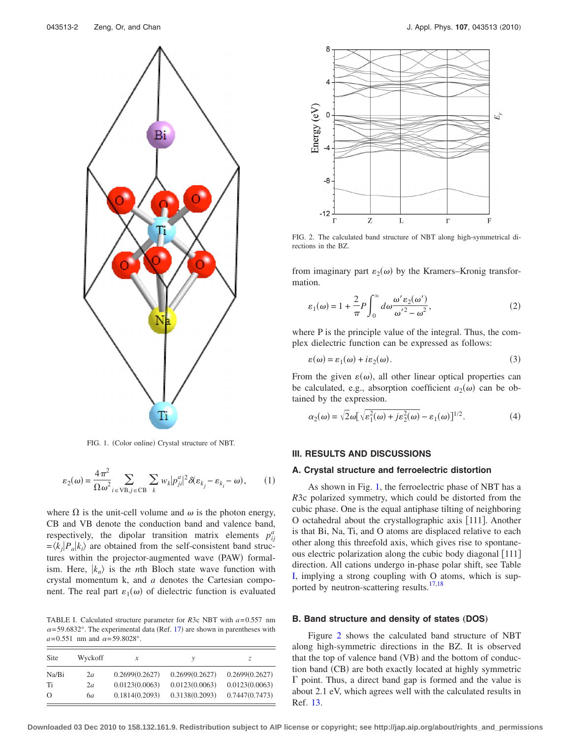<span id="page-1-1"></span>

FIG. 1. (Color online) Crystal structure of NBT.

$$
\varepsilon_2(\omega) = \frac{4\pi^2}{\Omega \omega^2} \sum_{i \in \text{VB}, j \in \text{CB}} \sum_k w_k |p_{ji}^a|^2 \delta(\varepsilon_{k_j} - \varepsilon_{k_i} - \omega), \qquad (1)
$$

where  $\Omega$  is the unit-cell volume and  $\omega$  is the photon energy, CB and VB denote the conduction band and valence band, respectively, the dipolar transition matrix elements  $p_{ij}^a$  $=$   $\langle k_j | P_a | k_i \rangle$  are obtained from the self-consistent band structures within the projector-augmented wave (PAW) formalism. Here,  $|k_n\rangle$  is the *n*th Bloch state wave function with crystal momentum k, and *a* denotes the Cartesian component. The real part  $\varepsilon_1(\omega)$  of dielectric function is evaluated

<span id="page-1-0"></span>TABLE I. Calculated structure parameter for *R*3c NBT with *a*= 0.557 nm  $\alpha$ = 59.6832°. The experimental data (Ref. [17](#page-3-15)) are shown in parentheses with  $a = 0.551$  nm and  $\alpha = 59.8028$ °.

| Site  | Wyckoff | x              | ν              | Z.             |
|-------|---------|----------------|----------------|----------------|
| Na/Bi | 2a      | 0.2699(0.2627) | 0.2699(0.2627) | 0.2699(0.2627) |
| Ti    | 2a      | 0.0123(0.0063) | 0.0123(0.0063) | 0.0123(0.0063) |
| O     | 6а      | 0.1814(0.2093) | 0.3138(0.2093) | 0.7447(0.7473) |

<span id="page-1-2"></span>

FIG. 2. The calculated band structure of NBT along high-symmetrical directions in the BZ.

from imaginary part  $\varepsilon_2(\omega)$  by the Kramers–Kronig transformation.

$$
\varepsilon_1(\omega) = 1 + \frac{2}{\pi} P \int_0^\infty d\omega \frac{\omega' \varepsilon_2(\omega')}{\omega'^2 - \omega^2},\tag{2}
$$

where P is the principle value of the integral. Thus, the complex dielectric function can be expressed as follows:

$$
\varepsilon(\omega) = \varepsilon_1(\omega) + i\varepsilon_2(\omega). \tag{3}
$$

From the given  $\varepsilon(\omega)$ , all other linear optical properties can be calculated, e.g., absorption coefficient  $a_2(\omega)$  can be obtained by the expression.

$$
\alpha_2(\omega) = \sqrt{2}\omega \left[\sqrt{\varepsilon_1^2(\omega) + j\varepsilon_2^2(\omega)} - \varepsilon_1(\omega)\right]^{1/2}.\tag{4}
$$

## **III. RESULTS AND DISCUSSIONS**

#### **A. Crystal structure and ferroelectric distortion**

As shown in Fig. [1,](#page-1-1) the ferroelectric phase of NBT has a *R*3c polarized symmetry, which could be distorted from the cubic phase. One is the equal antiphase tilting of neighboring O octahedral about the crystallographic axis [111]. Another is that Bi, Na, Ti, and O atoms are displaced relative to each other along this threefold axis, which gives rise to spontaneous electric polarization along the cubic body diagonal [111] direction. All cations undergo in-phase polar shift, see Table [I,](#page-1-0) implying a strong coupling with O atoms, which is sup-ported by neutron-scattering results.<sup>17,[18](#page-3-17)</sup>

## **B. Band structure and density of states (DOS)**

Figure [2](#page-1-2) shows the calculated band structure of NBT along high-symmetric directions in the BZ. It is observed that the top of valence band (VB) and the bottom of conduction band (CB) are both exactly located at highly symmetric  $\Gamma$  point. Thus, a direct band gap is formed and the value is about 2.1 eV, which agrees well with the calculated results in Ref. [13.](#page-3-12)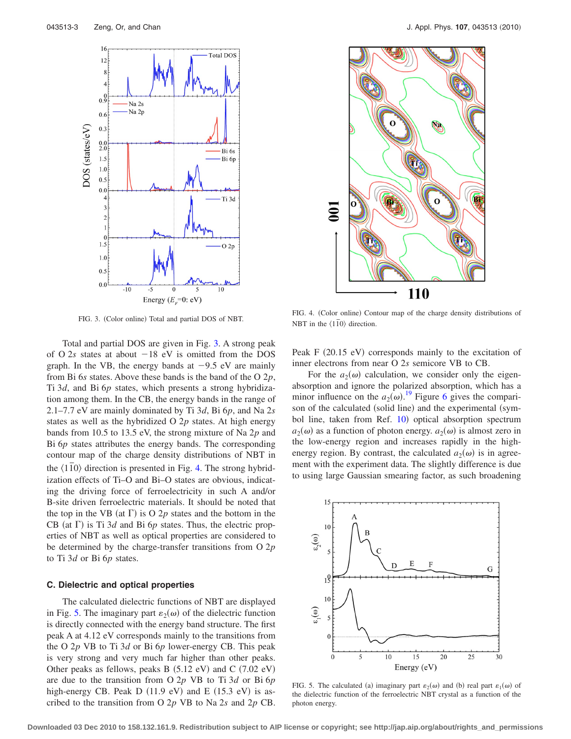<span id="page-2-0"></span>

FIG. 3. (Color online) Total and partial DOS of NBT.

Total and partial DOS are given in Fig. [3.](#page-2-0) A strong peak of O  $2s$  states at about  $-18$  eV is omitted from the DOS graph. In the VB, the energy bands at  $-9.5$  eV are mainly from Bi 6*s* states. Above these bands is the band of the O 2*p*, Ti 3*d*, and Bi 6*p* states, which presents a strong hybridization among them. In the CB, the energy bands in the range of 2.1–7.7 eV are mainly dominated by Ti 3*d*, Bi 6*p*, and Na 2*s* states as well as the hybridized O 2*p* states. At high energy bands from 10.5 to 13.5 eV, the strong mixture of Na 2*p* and Bi 6*p* states attributes the energy bands. The corresponding contour map of the charge density distributions of NBT in the  $\langle 110 \rangle$  direction is presented in Fig. [4.](#page-2-1) The strong hybridization effects of Ti–O and Bi–O states are obvious, indicating the driving force of ferroelectricity in such A and/or B-site driven ferroelectric materials. It should be noted that the top in the VB (at  $\Gamma$ ) is O 2p states and the bottom in the CB (at  $\Gamma$ ) is Ti 3*d* and Bi 6*p* states. Thus, the electric properties of NBT as well as optical properties are considered to be determined by the charge-transfer transitions from O 2*p* to Ti 3*d* or Bi 6*p* states.

## **C. Dielectric and optical properties**

The calculated dielectric functions of NBT are displayed in Fig. [5.](#page-2-2) The imaginary part  $\varepsilon_2(\omega)$  of the dielectric function is directly connected with the energy band structure. The first peak A at 4.12 eV corresponds mainly to the transitions from the O 2*p* VB to Ti 3*d* or Bi 6*p* lower-energy CB. This peak is very strong and very much far higher than other peaks. Other peaks as fellows, peaks B  $(5.12 \text{ eV})$  and C  $(7.02 \text{ eV})$ are due to the transition from O 2*p* VB to Ti 3*d* or Bi 6*p* high-energy CB. Peak  $D(11.9 \text{ eV})$  and  $E(15.3 \text{ eV})$  is ascribed to the transition from O 2*p* VB to Na 2*s* and 2*p* CB.

<span id="page-2-1"></span>

FIG. 4. (Color online) Contour map of the charge density distributions of NBT in the  $\langle 110 \rangle$  direction.

Peak F (20.15 eV) corresponds mainly to the excitation of inner electrons from near O 2*s* semicore VB to CB.

For the  $a_2(\omega)$  calculation, we consider only the eigenabsorption and ignore the polarized absorption, which has a minor influence on the  $a_2(\omega)$ .<sup>[19](#page-3-18)</sup> Figure [6](#page-3-19) gives the comparison of the calculated (solid line) and the experimental (sym-bol line, taken from Ref. [10](#page-3-10)) optical absorption spectrum  $a_2(\omega)$  as a function of photon energy.  $a_2(\omega)$  is almost zero in the low-energy region and increases rapidly in the highenergy region. By contrast, the calculated  $a_2(\omega)$  is in agreement with the experiment data. The slightly difference is due to using large Gaussian smearing factor, as such broadening

<span id="page-2-2"></span>

FIG. 5. The calculated (a) imaginary part  $\varepsilon_2(\omega)$  and (b) real part  $\varepsilon_1(\omega)$  of the dielectric function of the ferroelectric NBT crystal as a function of the photon energy.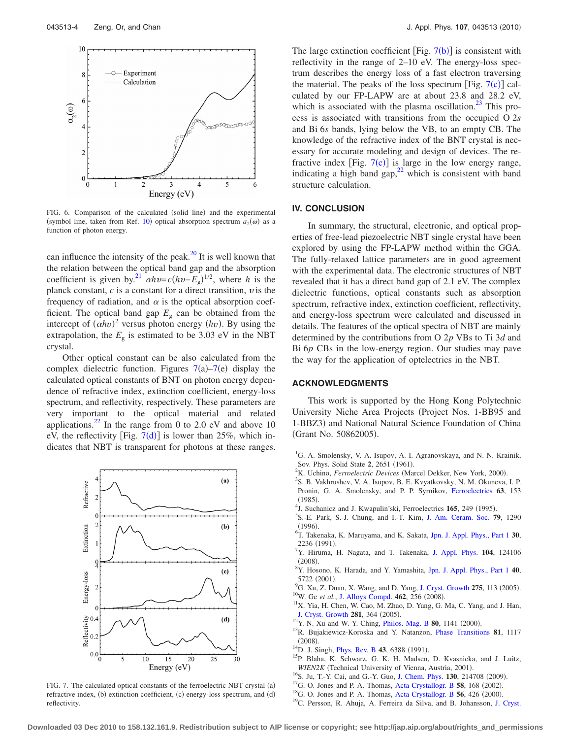<span id="page-3-19"></span>

FIG. 6. Comparison of the calculated (solid line) and the experimental (symbol line, taken from Ref. [10](#page-3-10)) optical absorption spectrum  $a_2(\omega)$  as a function of photon energy.

can influence the intensity of the peak. $^{20}$  It is well known that the relation between the optical band gap and the absorption coefficient is given by.<sup>21</sup>  $\alpha h v = c (h v - E_g)^{1/2}$ , where *h* is the planck constant,  $c$  is a constant for a direct transition,  $v$  is the frequency of radiation, and  $\alpha$  is the optical absorption coefficient. The optical band gap  $E_g$  can be obtained from the intercept of  $(\alpha h v)^2$  versus photon energy  $(hv)$ . By using the extrapolation, the  $E_g$  is estimated to be 3.03 eV in the NBT crystal.

Other optical constant can be also calculated from the complex dielectric function. Figures  $7(a) - 7(e)$  $7(a) - 7(e)$  display the calculated optical constants of BNT on photon energy dependence of refractive index, extinction coefficient, energy-loss spectrum, and reflectivity, respectively. These parameters are very important to the optical material and related applications.<sup>22</sup> In the range from 0 to 2.0 eV and above 10 eV, the reflectivity [Fig.  $7(d)$  $7(d)$ ] is lower than 25%, which indicates that NBT is transparent for photons at these ranges.

<span id="page-3-20"></span>

FIG. 7. The calculated optical constants of the ferroelectric NBT crystal (a) refractive index, (b) extinction coefficient, (c) energy-loss spectrum, and (d) reflectivity.

The large extinction coefficient [Fig.  $7(b)$  $7(b)$ ] is consistent with reflectivity in the range of 2–10 eV. The energy-loss spectrum describes the energy loss of a fast electron traversing the material. The peaks of the loss spectrum [Fig.  $7(c)$  $7(c)$ ] calculated by our FP-LAPW are at about 23.8 and 28.2 eV, which is associated with the plasma oscillation.<sup>23</sup> This process is associated with transitions from the occupied O 2*s* and Bi 6*s* bands, lying below the VB, to an empty CB. The knowledge of the refractive index of the BNT crystal is necessary for accurate modeling and design of devices. The refractive index [Fig.  $7(c)$  $7(c)$ ] is large in the low energy range, indicating a high band gap, $^{22}$  which is consistent with band structure calculation.

### **IV. CONCLUSION**

In summary, the structural, electronic, and optical properties of free-lead piezoelectric NBT single crystal have been explored by using the FP-LAPW method within the GGA. The fully-relaxed lattice parameters are in good agreement with the experimental data. The electronic structures of NBT revealed that it has a direct band gap of 2.1 eV. The complex dielectric functions, optical constants such as absorption spectrum, refractive index, extinction coefficient, reflectivity, and energy-loss spectrum were calculated and discussed in details. The features of the optical spectra of NBT are mainly determined by the contributions from O 2*p* VBs to Ti 3*d* and Bi 6*p* CBs in the low-energy region. Our studies may pave the way for the application of optelectrics in the NBT.

# **ACKNOWLEDGMENTS**

This work is supported by the Hong Kong Polytechnic University Niche Area Projects (Project Nos. 1-BB95 and 1-BBZ3) and National Natural Science Foundation of China (Grant No. 50862005).

- <span id="page-3-0"></span><sup>1</sup>G. A. Smolensky, V. A. Isupov, A. I. Agranovskaya, and N. N. Krainik, Sov. Phys. Solid State 2, 2651 (1961).
- <span id="page-3-1"></span><sup>2</sup>K. Uchino, *Ferroelectric Devices* (Marcel Dekker, New York, 2000).<br><sup>3</sup>S. P. Vekhrishov, M. A. Jeunov, B. E. Kuvetkovsky, N. M. Okunova.
- <span id="page-3-2"></span><sup>3</sup>S. B. Vakhrushev, V. A. Isupov, B. E. Kvyatkovsky, N. M. Okuneva, I. P. Pronin, G. A. Smolensky, and P. P. Syrnikov, [Ferroelectrics](http://dx.doi.org/10.1080/00150198508221396) **63**, 153  $(1985)$ .<br><sup>4</sup>1 Such
- <span id="page-3-3"></span><sup>4</sup>J. Suchanicz and J. Kwapulin'ski, Ferroelectrics **165**, 249 (1995).
- <span id="page-3-4"></span>S.-E. Park, S.-J. Chung, and I.-T. Kim, [J. Am. Ceram. Soc.](http://dx.doi.org/10.1111/j.1151-2916.1996.tb08586.x) **79**, 1290  $(1996)$ . <sup>6</sup> T. Takenaka, K. Maruyama, and K. Sakata, [Jpn. J. Appl. Phys., Part 1](http://dx.doi.org/10.1143/JJAP.30.2236) **30**,
- <span id="page-3-5"></span> $^{2236}$  (1991).
- <span id="page-3-6"></span>Y. Hiruma, H. Nagata, and T. Takenaka, [J. Appl. Phys.](http://dx.doi.org/10.1063/1.3043588) **104**, 124106  $(2008).$ <sup>8</sup> $\times$  H<sub>22</sub>
- <span id="page-3-7"></span>Y. Hosono, K. Harada, and Y. Yamashita, [Jpn. J. Appl. Phys., Part 1](http://dx.doi.org/10.1143/JJAP.40.5722) **40**,  $\frac{5722}{9}$  (2001).
- <span id="page-3-8"></span><sup>9</sup>G. Xu, Z. Duan, X. Wang, and D. Yang, [J. Cryst. Growth](http://dx.doi.org/10.1016/j.jcrysgro.2004.10.074) **275**, 113 (2005). <sup>10</sup>W. Ge *et al.*, [J. Alloys Compd.](http://dx.doi.org/10.1016/j.jallcom.2007.08.006) **462**, 256 (2008).
- <span id="page-3-10"></span><span id="page-3-9"></span><sup>10</sup>W. Ge *et al.*, J. Alloys Compd. **462**, 256 (2008).<br><sup>11</sup>X. Yia, H. Chen, W. Cao, M. Zhao, D. Yang, G. Ma, C. Yang, and J. Han, [J. Cryst. Growth](http://dx.doi.org/10.1016/j.jcrysgro.2005.03.068) 281, 364 (2005).
- <span id="page-3-11"></span><sup>12</sup>Y.-N. Xu and W. Y. Ching, *[Philos. Mag. B](http://dx.doi.org/10.1080/13642810008208587)* **80**, 1141 (2000).
- <span id="page-3-12"></span>. 13R. Bujakiewicz-Koroska and Y. Natanzon, [Phase Transitions](http://dx.doi.org/10.1080/01411590802460833) **<sup>81</sup>**, 1117  $(2008).$
- <span id="page-3-13"></span><sup>14</sup>D. J. Singh, *[Phys. Rev. B](http://dx.doi.org/10.1103/PhysRevB.43.6388)* 43, 6388 (1991).
- <span id="page-3-14"></span><sup>15</sup>P. Blaha, K. Schwarz, G. K. H. Madsen, D. Kvasnicka, and J. Luitz, *WIEN2K* (Technical University of Vienna, Austria, 2001).
- <span id="page-3-16"></span><sup>16</sup>S. Ju, T.-Y. Cai, and G.-Y. Guo, [J. Chem. Phys.](http://dx.doi.org/10.1063/1.3146796) **130**, 214708 (2009).
- <span id="page-3-15"></span><sup>17</sup>G. O. Jones and P. A. Thomas, [Acta Crystallogr. B](http://dx.doi.org/10.1107/S0108768101020845) 58, 168 (2002).
- <span id="page-3-17"></span><sup>18</sup>G. O. Jones and P. A. Thomas, [Acta Crystallogr. B](http://dx.doi.org/10.1107/S0108768100001166) 56, 426 (2000).
- <span id="page-3-18"></span><sup>19</sup>C. Persson, R. Ahuja, A. Ferreira da Silva, and B. Johansson, [J. Cryst.](http://dx.doi.org/10.1016/S0022-0248(01)01471-3)